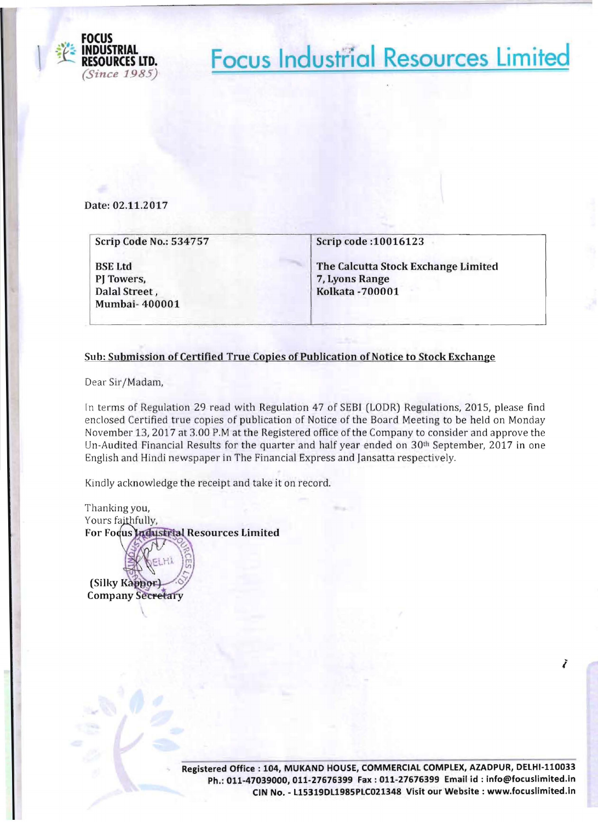

**Focus Industrial Resources Limited** 

**Date: 02.11.2017** 

| The Calcutta Stock Exchange Limited |
|-------------------------------------|
|                                     |
| 7, Lyons Range                      |
| <b>Kolkata-700001</b>               |
|                                     |
|                                     |

## **Sub: Submission** of Certified **True Copies** of Publication of Notice **to Stock Exchange**

Dear Sir/Madam,

In terms of Regulation 29 read with Regulation 47 of SEBI (LODR) Regulations, 2015, please find enclosed Certified true copies of publication of Notice of the Board Meeting to be held on Monday November 13, 2017 at 3.00 P.M at the Registered office of the Company to consider and approve the Un-Audited Financial Results for the quarter and half year ended on  $30<sup>th</sup>$  September, 2017 in one English and Hindi newspaper in The Financial Express and Jansatta respectively.

Kindly acknowledge the receipt and take it on record.

Thanking you, Yours faithfully, For Focus Industrial Resources Limited

(Silky Kappor) **Company Secretary** 

> **Registered Office: 104, MUKAND HOUSE, COMMERCIAL COMPLEX, AZADPUR, DELHI-110033**  Ph.: 011-47039000, 011-27676399 Fax: 011-27676399 Email id: info@focuslimited.in **CIN No. - 115319D11985PLC021348 Visit our Website: www.focuslimited.in**

I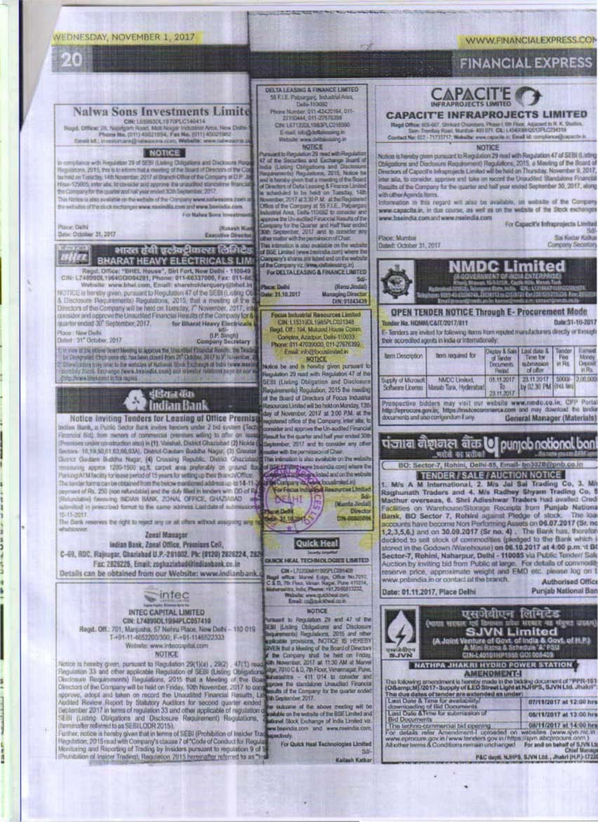## WEDNESDAY, NOVEMBER 1, 2017

O

Place: Delté

Date: October 31, 2017

Place: New Delhi

(5-11-2017)



uniher, notice is hereby given that in terms of SEBI (Prohibition of Insider Track) Regulation, 2015 read with Company's classe 7 of "Code of Conduct for Regulation"<br>Monitoring and Reporting of Trading by Insiders pursuant to regulation 9 of 5<br>(Prohibition of Insider Trading), Regulation 2015 hereinafter

extively. For Quick Heal Technologies Limited 当起

Kailash Katkar

P&C depti. NJHPS, SJVN Ltd., Jhakri (H,P.)-1722